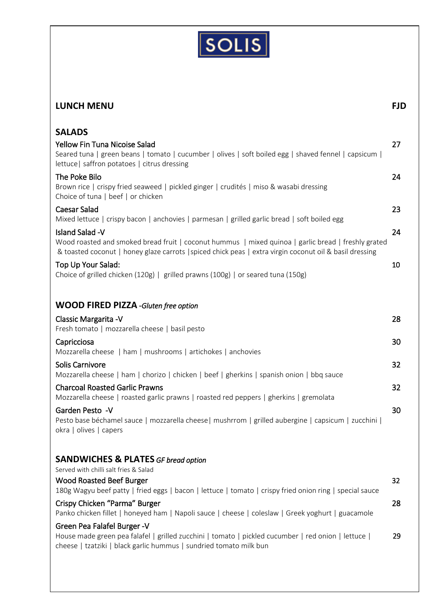

| <b>LUNCH MENU</b>                                                                                                                                                                                                                          | <b>FJD</b> |
|--------------------------------------------------------------------------------------------------------------------------------------------------------------------------------------------------------------------------------------------|------------|
| <b>SALADS</b><br>Yellow Fin Tuna Nicoise Salad<br>Seared tuna   green beans   tomato   cucumber   olives   soft boiled egg   shaved fennel   capsicum  <br>lettuce   saffron potatoes   citrus dressing                                    | 27         |
| The Poke Bilo<br>Brown rice   crispy fried seaweed   pickled ginger   crudités   miso & wasabi dressing<br>Choice of tuna   beef   or chicken                                                                                              | 24         |
| <b>Caesar Salad</b><br>Mixed lettuce   crispy bacon   anchovies   parmesan   grilled garlic bread   soft boiled egg                                                                                                                        | 23         |
| <b>Island Salad -V</b><br>Wood roasted and smoked bread fruit   coconut hummus   mixed quinoa   garlic bread   freshly grated<br>& toasted coconut   honey glaze carrots   spiced chick peas   extra virgin coconut oil & basil dressing   | 24         |
| Top Up Your Salad:<br>Choice of grilled chicken (120g)   grilled prawns (100g)   or seared tuna (150g)                                                                                                                                     | 10         |
| <b>WOOD FIRED PIZZA</b> -Gluten free option                                                                                                                                                                                                |            |
| Classic Margarita - V<br>Fresh tomato   mozzarella cheese   basil pesto                                                                                                                                                                    | 28         |
| Capricciosa<br>Mozzarella cheese   ham   mushrooms   artichokes   anchovies                                                                                                                                                                | 30         |
| Solis Carnivore                                                                                                                                                                                                                            | 32         |
| Mozzarella cheese   ham   chorizo   chicken   beef   gherkins   spanish onion   bbq sauce<br><b>Charcoal Roasted Garlic Prawns</b>                                                                                                         | 32         |
| Mozzarella cheese   roasted garlic prawns   roasted red peppers   gherkins   gremolata<br>Garden Pesto -V<br>Pesto base béchamel sauce   mozzarella cheese  mushrrom   grilled aubergine   capsicum   zucchini  <br>okra   olives   capers | 30         |
| <b>SANDWICHES &amp; PLATES GF bread option</b>                                                                                                                                                                                             |            |
| Served with chilli salt fries & Salad<br><b>Wood Roasted Beef Burger</b><br>180g Wagyu beef patty   fried eggs   bacon   lettuce   tomato   crispy fried onion ring   special sauce                                                        | 32         |
| Crispy Chicken "Parma" Burger<br>Panko chicken fillet   honeyed ham   Napoli sauce   cheese   coleslaw   Greek yoghurt   guacamole                                                                                                         | 28         |
| Green Pea Falafel Burger - V<br>House made green pea falafel   grilled zucchini   tomato   pickled cucumber   red onion   lettuce  <br>cheese   tzatziki   black garlic hummus   sundried tomato milk bun                                  | 29         |